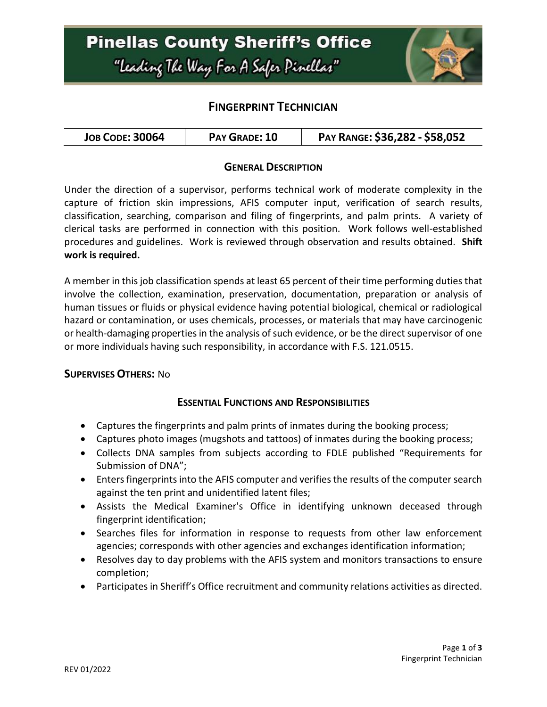

## **FINGERPRINT TECHNICIAN**

| <b>JOB CODE: 30064</b> | PAY GRADE: 10 | PAY RANGE: \$36,282 - \$58,052 |
|------------------------|---------------|--------------------------------|
|------------------------|---------------|--------------------------------|

### **GENERAL DESCRIPTION**

Under the direction of a supervisor, performs technical work of moderate complexity in the capture of friction skin impressions, AFIS computer input, verification of search results, classification, searching, comparison and filing of fingerprints, and palm prints. A variety of clerical tasks are performed in connection with this position. Work follows well-established procedures and guidelines. Work is reviewed through observation and results obtained. **Shift work is required.**

A member in this job classification spends at least 65 percent of their time performing duties that involve the collection, examination, preservation, documentation, preparation or analysis of human tissues or fluids or physical evidence having potential biological, chemical or radiological hazard or contamination, or uses chemicals, processes, or materials that may have carcinogenic or health-damaging properties in the analysis of such evidence, or be the direct supervisor of one or more individuals having such responsibility, in accordance with F.S. 121.0515.

#### **SUPERVISES OTHERS:** No

### **ESSENTIAL FUNCTIONS AND RESPONSIBILITIES**

- Captures the fingerprints and palm prints of inmates during the booking process;
- Captures photo images (mugshots and tattoos) of inmates during the booking process;
- Collects DNA samples from subjects according to FDLE published "Requirements for Submission of DNA";
- Enters fingerprints into the AFIS computer and verifies the results of the computer search against the ten print and unidentified latent files;
- Assists the Medical Examiner's Office in identifying unknown deceased through fingerprint identification;
- Searches files for information in response to requests from other law enforcement agencies; corresponds with other agencies and exchanges identification information;
- Resolves day to day problems with the AFIS system and monitors transactions to ensure completion;
- Participates in Sheriff's Office recruitment and community relations activities as directed.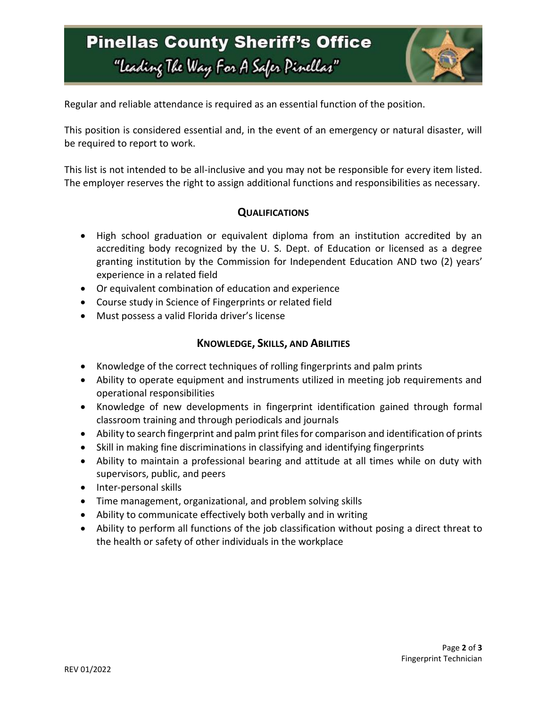# **Pinellas County Sheriff's Office** "Leading The Way For A Safer Pinellar"



Regular and reliable attendance is required as an essential function of the position.

This position is considered essential and, in the event of an emergency or natural disaster, will be required to report to work.

This list is not intended to be all-inclusive and you may not be responsible for every item listed. The employer reserves the right to assign additional functions and responsibilities as necessary.

### **QUALIFICATIONS**

- High school graduation or equivalent diploma from an institution accredited by an accrediting body recognized by the U. S. Dept. of Education or licensed as a degree granting institution by the Commission for Independent Education AND two (2) years' experience in a related field
- Or equivalent combination of education and experience
- Course study in Science of Fingerprints or related field
- Must possess a valid Florida driver's license

#### **KNOWLEDGE, SKILLS, AND ABILITIES**

- Knowledge of the correct techniques of rolling fingerprints and palm prints
- Ability to operate equipment and instruments utilized in meeting job requirements and operational responsibilities
- Knowledge of new developments in fingerprint identification gained through formal classroom training and through periodicals and journals
- Ability to search fingerprint and palm print files for comparison and identification of prints
- Skill in making fine discriminations in classifying and identifying fingerprints
- Ability to maintain a professional bearing and attitude at all times while on duty with supervisors, public, and peers
- Inter-personal skills
- Time management, organizational, and problem solving skills
- Ability to communicate effectively both verbally and in writing
- Ability to perform all functions of the job classification without posing a direct threat to the health or safety of other individuals in the workplace